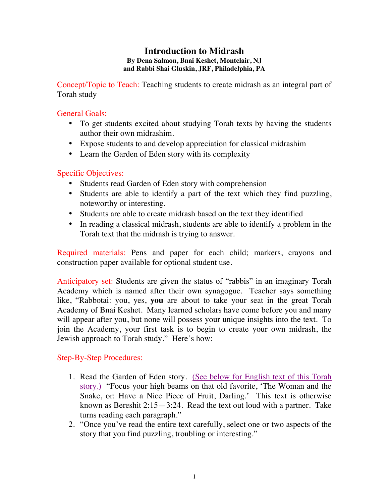### **Introduction to Midrash By Dena Salmon, Bnai Keshet, Montclair, NJ and Rabbi Shai Gluskin, JRF, Philadelphia, PA**

Concept/Topic to Teach: Teaching students to create midrash as an integral part of Torah study

## General Goals:

- To get students excited about studying Torah texts by having the students author their own midrashim.
- Expose students to and develop appreciation for classical midrashim
- Learn the Garden of Eden story with its complexity

# Specific Objectives:

- Students read Garden of Eden story with comprehension
- Students are able to identify a part of the text which they find puzzling, noteworthy or interesting.
- Students are able to create midrash based on the text they identified
- In reading a classical midrash, students are able to identify a problem in the Torah text that the midrash is trying to answer.

Required materials: Pens and paper for each child; markers, crayons and construction paper available for optional student use.

Anticipatory set: Students are given the status of "rabbis" in an imaginary Torah Academy which is named after their own synagogue. Teacher says something like, "Rabbotai: you, yes, **you** are about to take your seat in the great Torah Academy of Bnai Keshet. Many learned scholars have come before you and many will appear after you, but none will possess your unique insights into the text. To join the Academy, your first task is to begin to create your own midrash, the Jewish approach to Torah study." Here's how:

# Step-By-Step Procedures:

- 1. Read the Garden of Eden story. (See below for English text of this Torah story.) "Focus your high beams on that old favorite, 'The Woman and the Snake, or: Have a Nice Piece of Fruit, Darling.' This text is otherwise known as Bereshit 2:15—3:24. Read the text out loud with a partner. Take turns reading each paragraph."
- 2. "Once you've read the entire text carefully, select one or two aspects of the story that you find puzzling, troubling or interesting."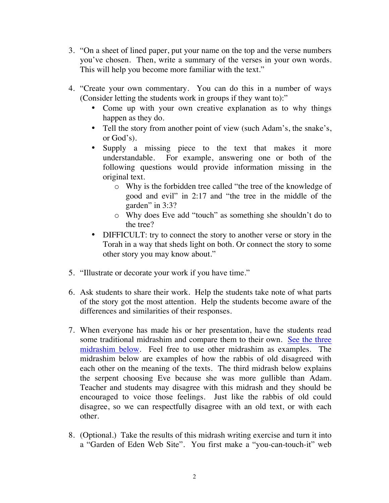- 3. "On a sheet of lined paper, put your name on the top and the verse numbers you've chosen. Then, write a summary of the verses in your own words. This will help you become more familiar with the text."
- 4. "Create your own commentary. You can do this in a number of ways (Consider letting the students work in groups if they want to):"
	- Come up with your own creative explanation as to why things happen as they do.
	- Tell the story from another point of view (such Adam's, the snake's, or God's).
	- Supply a missing piece to the text that makes it more understandable. For example, answering one or both of the following questions would provide information missing in the original text.
		- o Why is the forbidden tree called "the tree of the knowledge of good and evil" in 2:17 and "the tree in the middle of the garden" in 3:3?
		- o Why does Eve add "touch" as something she shouldn't do to the tree?
	- DIFFICULT: try to connect the story to another verse or story in the Torah in a way that sheds light on both. Or connect the story to some other story you may know about."
- 5. "Illustrate or decorate your work if you have time."
- 6. Ask students to share their work. Help the students take note of what parts of the story got the most attention. Help the students become aware of the differences and similarities of their responses.
- 7. When everyone has made his or her presentation, have the students read some traditional midrashim and compare them to their own. See the three midrashim below. Feel free to use other midrashim as examples. The midrashim below are examples of how the rabbis of old disagreed with each other on the meaning of the texts. The third midrash below explains the serpent choosing Eve because she was more gullible than Adam. Teacher and students may disagree with this midrash and they should be encouraged to voice those feelings. Just like the rabbis of old could disagree, so we can respectfully disagree with an old text, or with each other.
- 8. (Optional.) Take the results of this midrash writing exercise and turn it into a "Garden of Eden Web Site". You first make a "you-can-touch-it" web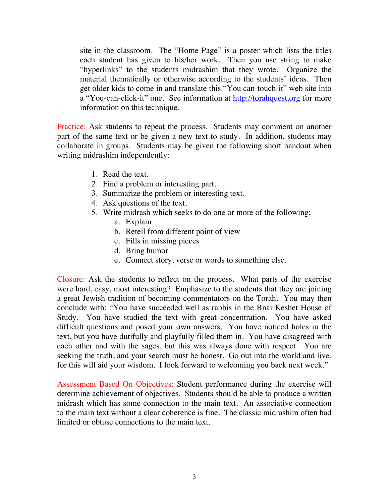site in the classroom. The "Home Page" is a poster which lists the titles each student has given to his/her work. Then you use string to make "hyperlinks" to the students midrashim that they wrote. Organize the material thematically or otherwise according to the students' ideas. Then get older kids to come in and translate this "You can-touch-it" web site into a "You-can-click-it" one. See information at http://torahquest.org for more information on this technique.

Practice: Ask students to repeat the process. Students may comment on another part of the same text or be given a new text to study. In addition, students may collaborate in groups. Students may be given the following short handout when writing midrashim independently:

- 1. Read the text.
- 2. Find a problem or interesting part.
- 3. Summarize the problem or interesting text.
- 4. Ask questions of the text.
- 5. Write midrash which seeks to do one or more of the following:
	- a. Explain
	- b. Retell from different point of view
	- c. Fills in missing pieces
	- d. Bring humor
	- e. Connect story, verse or words to something else.

Closure: Ask the students to reflect on the process. What parts of the exercise were hard, easy, most interesting? Emphasize to the students that they are joining a great Jewish tradition of becoming commentators on the Torah. You may then conclude with: "You have succeeded well as rabbis in the Bnai Keshet House of Study. You have studied the text with great concentration. You have asked difficult questions and posed your own answers. You have noticed holes in the text, but you have dutifully and playfully filled them in. You have disagreed with each other and with the sages, but this was always done with respect. You are seeking the truth, and your search must be honest. Go out into the world and live, for this will aid your wisdom. I look forward to welcoming you back next week."

Assessment Based On Objectives: Student performance during the exercise will determine achievement of objectives. Students should be able to produce a written midrash which has some connection to the main text. An associative connection to the main text without a clear coherence is fine. The classic midrashim often had limited or obtuse connections to the main text.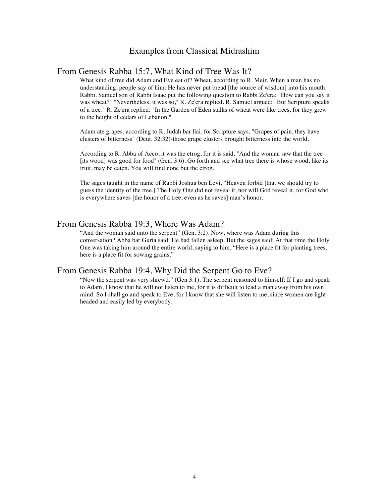### Examples from Classical Midrashim

#### From Genesis Rabba 15:7, What Kind of Tree Was It?

What kind of tree did Adam and Eve eat of? Wheat, according to R. Meir. When a man has no understanding, people say of him: He has never put bread [the source of wisdom] into his mouth. Rabbi. Samuel son of Rabbi Isaac put the following question to Rabbi Ze'era: "How can you say it was wheat?" "Nevertheless, it was so," R. Ze'era replied. R. Samuel argued: "But Scripture speaks of a tree." R. Ze'era replied: "In the Garden of Eden stalks of wheat were like trees, for they grew to the height of cedars of Lebanon."

Adam ate grapes, according to R. Judah bar llai, for Scripture says, "Grapes of pain, they have clusters of bitterness" (Deut. 32:32)-those grape clusters brought bitterness into the world.

According to R. Abba of Acco, it was the etrog, for it is said, "And the woman saw that the tree [its wood] was good for food" (Gen. 3:6). Go forth and see what tree there is whose wood, like its fruit, may be eaten. You will find none but the etrog.

The sages taught in the name of Rabbi Joshua ben Levi, "Heaven forbid [that we should try to guess the identity of the tree.] The Holy One did not reveal it, nor will God reveal it, for God who is everywhere saves [the honor of a tree, even as he saves] man's honor.

### From Genesis Rabba 19:3, Where Was Adam?

"And the woman said unto the serpent" (Gen. 3:2). Now, where was Adam during this conversation? Abba bar Guria said: He had fallen asleep. But the sages said: At that time the Holy One was taking him around the entire world, saying to him, "Here is a place fit for planting trees, here is a place fit for sowing grains."

#### From Genesis Rabba 19:4, Why Did the Serpent Go to Eve?

"Now the serpent was very shrewd." (Gen 3:1). The serpent reasoned to himself: If I go and speak to Adam, I know that he will not listen to me, for it is difficult to lead a man away from his own mind. So I shall go and speak to Eve, for I know that she will listen to me, since women are lightheaded and easily led by everybody.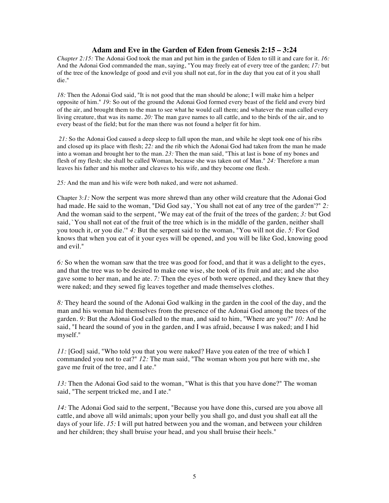#### **Adam and Eve in the Garden of Eden from Genesis 2:15 – 3:24**

*Chapter 2:15:* The Adonai God took the man and put him in the garden of Eden to till it and care for it. *16:* And the Adonai God commanded the man, saying, "You may freely eat of every tree of the garden; *17:* but of the tree of the knowledge of good and evil you shall not eat, for in the day that you eat of it you shall die."

*18:* Then the Adonai God said, "It is not good that the man should be alone; I will make him a helper opposite of him." *19:* So out of the ground the Adonai God formed every beast of the field and every bird of the air, and brought them to the man to see what he would call them; and whatever the man called every living creature, that was its name. *20:* The man gave names to all cattle, and to the birds of the air, and to every beast of the field; but for the man there was not found a helper fit for him.

*21:* So the Adonai God caused a deep sleep to fall upon the man, and while he slept took one of his ribs and closed up its place with flesh; *22:* and the rib which the Adonai God had taken from the man he made into a woman and brought her to the man. *23:* Then the man said, "This at last is bone of my bones and flesh of my flesh; she shall be called Woman, because she was taken out of Man." *24:* Therefore a man leaves his father and his mother and cleaves to his wife, and they become one flesh.

*25:* And the man and his wife were both naked, and were not ashamed.

Chapter 3:*1:* Now the serpent was more shrewd than any other wild creature that the Adonai God had made. He said to the woman, "Did God say, `You shall not eat of any tree of the garden'?" *2:* And the woman said to the serpent, "We may eat of the fruit of the trees of the garden; *3:* but God said, `You shall not eat of the fruit of the tree which is in the middle of the garden, neither shall you touch it, or you die.'" *4:* But the serpent said to the woman, "You will not die. *5:* For God knows that when you eat of it your eyes will be opened, and you will be like God, knowing good and evil."

*6:* So when the woman saw that the tree was good for food, and that it was a delight to the eyes, and that the tree was to be desired to make one wise, she took of its fruit and ate; and she also gave some to her man, and he ate. *7:* Then the eyes of both were opened, and they knew that they were naked; and they sewed fig leaves together and made themselves clothes.

*8:* They heard the sound of the Adonai God walking in the garden in the cool of the day, and the man and his woman hid themselves from the presence of the Adonai God among the trees of the garden. *9:* But the Adonai God called to the man, and said to him, "Where are you?" *10:* And he said, "I heard the sound of you in the garden, and I was afraid, because I was naked; and I hid myself."

*11:* [God] said, "Who told you that you were naked? Have you eaten of the tree of which I commanded you not to eat?" *12:* The man said, "The woman whom you put here with me, she gave me fruit of the tree, and I ate."

*13:* Then the Adonai God said to the woman, "What is this that you have done?" The woman said, "The serpent tricked me, and I ate."

*14:* The Adonai God said to the serpent, "Because you have done this, cursed are you above all cattle, and above all wild animals; upon your belly you shall go, and dust you shall eat all the days of your life. *15:* I will put hatred between you and the woman, and between your children and her children; they shall bruise your head, and you shall bruise their heels."